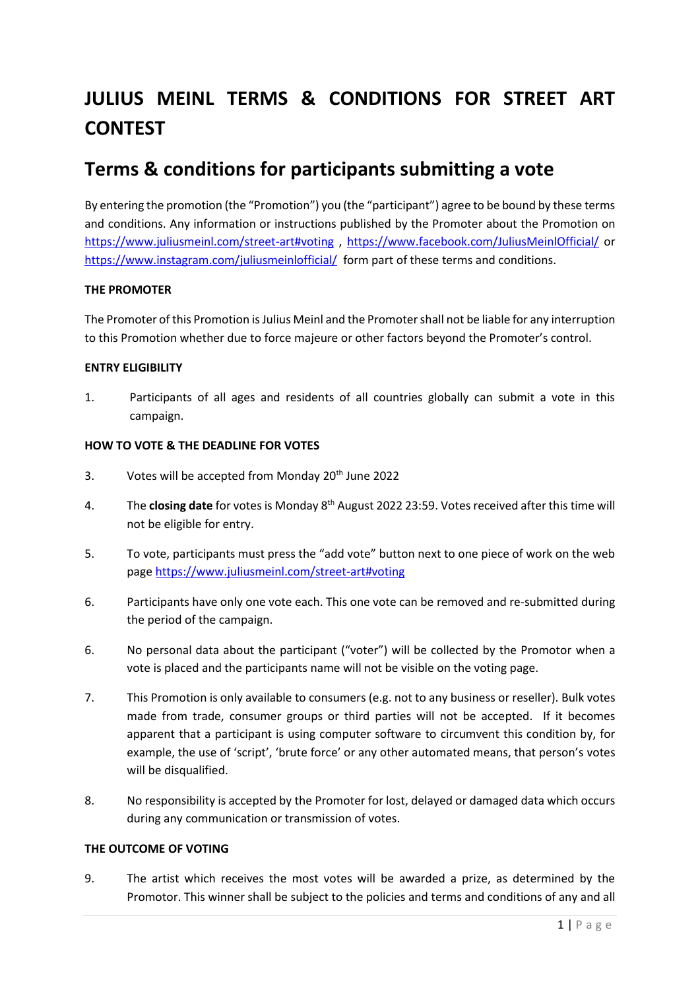# **JULIUS MEINL TERMS & CONDITIONS FOR STREET ART CONTEST**

# **Terms & conditions for participants submitting a vote**

By entering the promotion (the "Promotion") you (the "participant") agree to be bound by these terms and conditions. Any information or instructions published by the Promoter about the Promotion on <https://www.juliusmeinl.com/street-art#voting> ,<https://www.facebook.com/JuliusMeinlOfficial/> or <https://www.instagram.com/juliusmeinlofficial/>form part of these terms and conditions.

# **THE PROMOTER**

The Promoter of this Promotion is Julius Meinl and the Promoter shall not be liable for any interruption to this Promotion whether due to force majeure or other factors beyond the Promoter's control.

# **ENTRY ELIGIBILITY**

1. Participants of all ages and residents of all countries globally can submit a vote in this campaign.

#### **HOW TO VOTE & THE DEADLINE FOR VOTES**

- 3. Votes will be accepted from Monday  $20<sup>th</sup>$  June 2022
- 4. The **closing date** for votes is Monday 8th August 2022 23:59. Votes received after this time will not be eligible for entry.
- 5. To vote, participants must press the "add vote" button next to one piece of work on the web page<https://www.juliusmeinl.com/street-art#voting>
- 6. Participants have only one vote each. This one vote can be removed and re-submitted during the period of the campaign.
- 6. No personal data about the participant ("voter") will be collected by the Promotor when a vote is placed and the participants name will not be visible on the voting page.
- 7. This Promotion is only available to consumers (e.g. not to any business or reseller). Bulk votes made from trade, consumer groups or third parties will not be accepted. If it becomes apparent that a participant is using computer software to circumvent this condition by, for example, the use of 'script', 'brute force' or any other automated means, that person's votes will be disqualified.
- 8. No responsibility is accepted by the Promoter for lost, delayed or damaged data which occurs during any communication or transmission of votes.

#### **THE OUTCOME OF VOTING**

9. The artist which receives the most votes will be awarded a prize, as determined by the Promotor. This winner shall be subject to the policies and terms and conditions of any and all